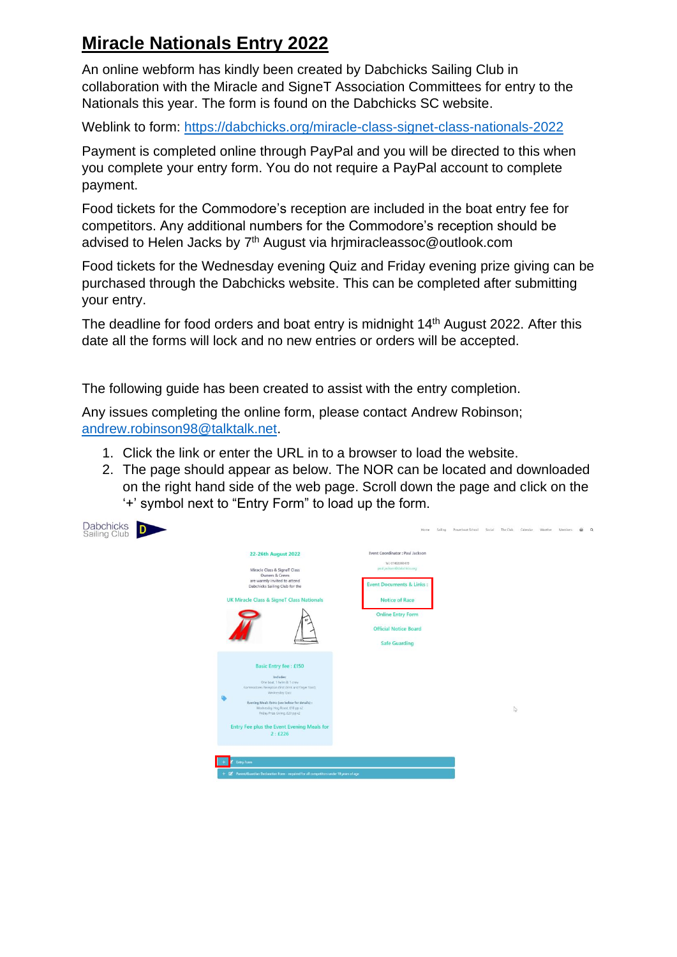## **Miracle Nationals Entry 2022**

An online webform has kindly been created by Dabchicks Sailing Club in collaboration with the Miracle and SigneT Association Committees for entry to the Nationals this year. The form is found on the Dabchicks SC website.

Weblink to form:<https://dabchicks.org/miracle-class-signet-class-nationals-2022>

Payment is completed online through PayPal and you will be directed to this when you complete your entry form. You do not require a PayPal account to complete payment.

Food tickets for the Commodore's reception are included in the boat entry fee for competitors. Any additional numbers for the Commodore's reception should be advised to Helen Jacks by 7<sup>th</sup> August via hrjmiracleassoc@outlook.com

Food tickets for the Wednesday evening Quiz and Friday evening prize giving can be purchased through the Dabchicks website. This can be completed after submitting your entry.

The deadline for food orders and boat entry is midnight 14th August 2022. After this date all the forms will lock and no new entries or orders will be accepted.

The following guide has been created to assist with the entry completion.

Any issues completing the online form, please contact Andrew Robinson; [andrew.robinson98@talktalk.net.](mailto:andrew.robinson98@talktalk.net)

- 1. Click the link or enter the URL in to a browser to load the website.
- 2. The page should appear as below. The NOR can be located and downloaded on the right hand side of the web page. Scroll down the page and click on the '+' symbol next to "Entry Form" to load up the form.

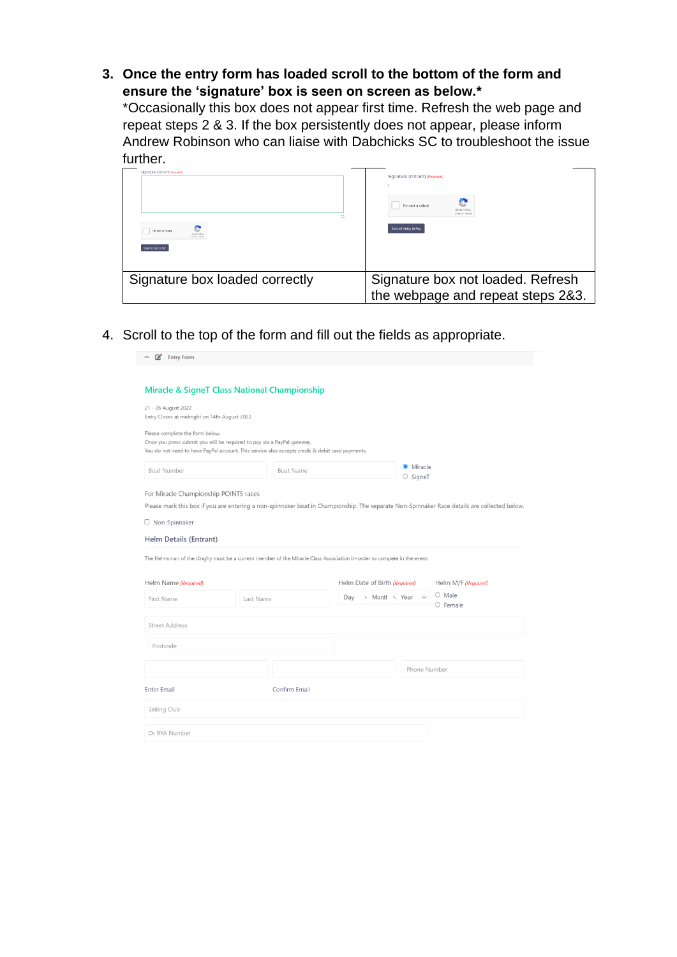**3. Once the entry form has loaded scroll to the bottom of the form and ensure the 'signature' box is seen on screen as below.\***

\*Occasionally this box does not appear first time. Refresh the web page and repeat steps 2 & 3. If the box persistently does not appear, please inform Andrew Robinson who can liaise with Dabchicks SC to troubleshoot the issue further.

| Signature (Entrant) (Newwed)   | Signature (Entrant) (Required)                                         |
|--------------------------------|------------------------------------------------------------------------|
| - 1                            | e                                                                      |
| I'm not a robot                | I'm not a robot                                                        |
| HEAPTCLIA                      | <b>DEAPTEH</b>                                                         |
| rrieta - serra                 | Pringer + Tarry                                                        |
| Submit Entry & Pay             | Submit Entry & Pay                                                     |
| Signature box loaded correctly | Signature box not loaded. Refresh<br>the webpage and repeat steps 2&3. |

4. Scroll to the top of the form and fill out the fields as appropriate.

| Entry Form                                                                                                                                                                                                    |           |               |     |                                |              |                                                                                                                                             |
|---------------------------------------------------------------------------------------------------------------------------------------------------------------------------------------------------------------|-----------|---------------|-----|--------------------------------|--------------|---------------------------------------------------------------------------------------------------------------------------------------------|
| <b>Miracle &amp; SigneT Class National Championship</b>                                                                                                                                                       |           |               |     |                                |              |                                                                                                                                             |
| 21 - 26 August 2022<br>Entry Closes at midnight on 14th August 2022.                                                                                                                                          |           |               |     |                                |              |                                                                                                                                             |
| Please complete the form below.<br>Once you press submit you will be required to pay via a PayPal gateway.<br>You do not need to have PayPal account. This service also accepts credit & debit card payments. |           |               |     |                                |              |                                                                                                                                             |
| Boat Number                                                                                                                                                                                                   |           | Boat Name     |     | <b>O</b> Miracle<br>$O$ SigneT |              |                                                                                                                                             |
| For Miracle Championship POINTS races                                                                                                                                                                         |           |               |     |                                |              |                                                                                                                                             |
|                                                                                                                                                                                                               |           |               |     |                                |              | Please mark this box if you are entering a non-spinnaker boat in Championship. The separate Non-Spinnaker Race details are collected below. |
| □ Non-Spinnaker                                                                                                                                                                                               |           |               |     |                                |              |                                                                                                                                             |
|                                                                                                                                                                                                               |           |               |     |                                |              |                                                                                                                                             |
|                                                                                                                                                                                                               |           |               |     |                                |              |                                                                                                                                             |
|                                                                                                                                                                                                               |           |               |     |                                |              |                                                                                                                                             |
|                                                                                                                                                                                                               |           |               |     |                                |              |                                                                                                                                             |
| Helm Details (Entrant)<br>The Helmsman of the dinghy must be a current member of the Miracle Class Association in-order to compete in the event.<br>Helm Name (Required)                                      |           |               |     | Helm Date of Birth (Required)  |              | Helm M/F (Required)                                                                                                                         |
| First Name                                                                                                                                                                                                    | Last Name |               | Dav | Montl Year                     |              | $O$ Male<br>$O$ Female                                                                                                                      |
| <b>Street Address</b>                                                                                                                                                                                         |           |               |     |                                |              |                                                                                                                                             |
| Postcode                                                                                                                                                                                                      |           |               |     |                                |              |                                                                                                                                             |
|                                                                                                                                                                                                               |           |               |     |                                | Phone Number |                                                                                                                                             |
| <b>Enter Email</b>                                                                                                                                                                                            |           | Confirm Email |     |                                |              |                                                                                                                                             |
| Sailing Club                                                                                                                                                                                                  |           |               |     |                                |              |                                                                                                                                             |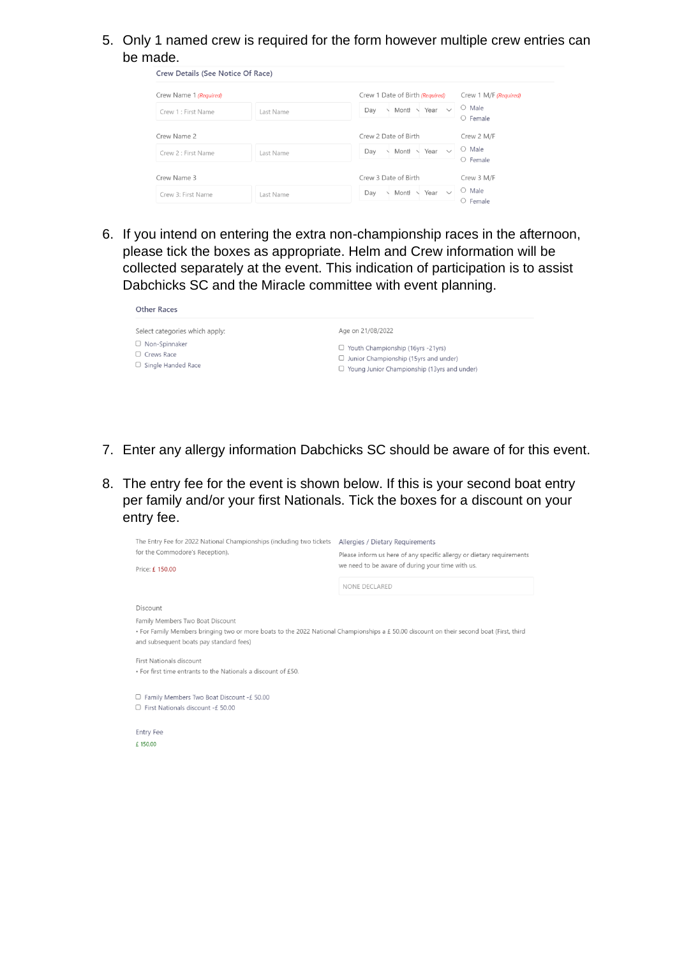5. Only 1 named crew is required for the form however multiple crew entries can be made.

| Crew Details (See Notice Of Race) |           |                                           |                                   |
|-----------------------------------|-----------|-------------------------------------------|-----------------------------------|
| Crew Name 1 (Required)            |           | Crew 1 Date of Birth (Required)           | Crew 1 M/F (Required)             |
| Crew 1 : First Name               | Last Name | Month \<br>Day<br>Year<br>$\checkmark$    | Male<br>$\cup$<br>$O$ Female      |
| Crew Name 2                       |           | Crew 2 Date of Birth                      | Crew 2 M/F                        |
| Crew 2 : First Name               | Last Name | Monti $\vee$ Year $\vee$<br>Day           | Male<br>$\bigcirc$<br>$O$ Female  |
| Crew Name 3                       |           | Crew 3 Date of Birth                      | Crew 3 M/F                        |
| Crew 3: First Name                | Last Name | Month<br>Year $\vee$<br>Day<br>$\sqrt{2}$ | Male<br>$\circ$<br>$\circ$ Female |

6. If you intend on entering the extra non-championship races in the afternoon, please tick the boxes as appropriate. Helm and Crew information will be collected separately at the event. This indication of participation is to assist Dabchicks SC and the Miracle committee with event planning.

| <b>Other Races</b>                                                     |                                                                                                                                                |  |  |  |
|------------------------------------------------------------------------|------------------------------------------------------------------------------------------------------------------------------------------------|--|--|--|
| Select categories which apply:                                         | Age on 21/08/2022                                                                                                                              |  |  |  |
| $\Box$ Non-Spinnaker<br>$\Box$ Crews Race<br>$\Box$ Single Handed Race | $\Box$ Youth Championship (16yrs -21yrs)<br>$\Box$ Junior Championship (15yrs and under)<br>$\Box$ Young Junior Championship (13yrs and under) |  |  |  |

- 7. Enter any allergy information Dabchicks SC should be aware of for this event.
- 8. The entry fee for the event is shown below. If this is your second boat entry per family and/or your first Nationals. Tick the boxes for a discount on your entry fee.

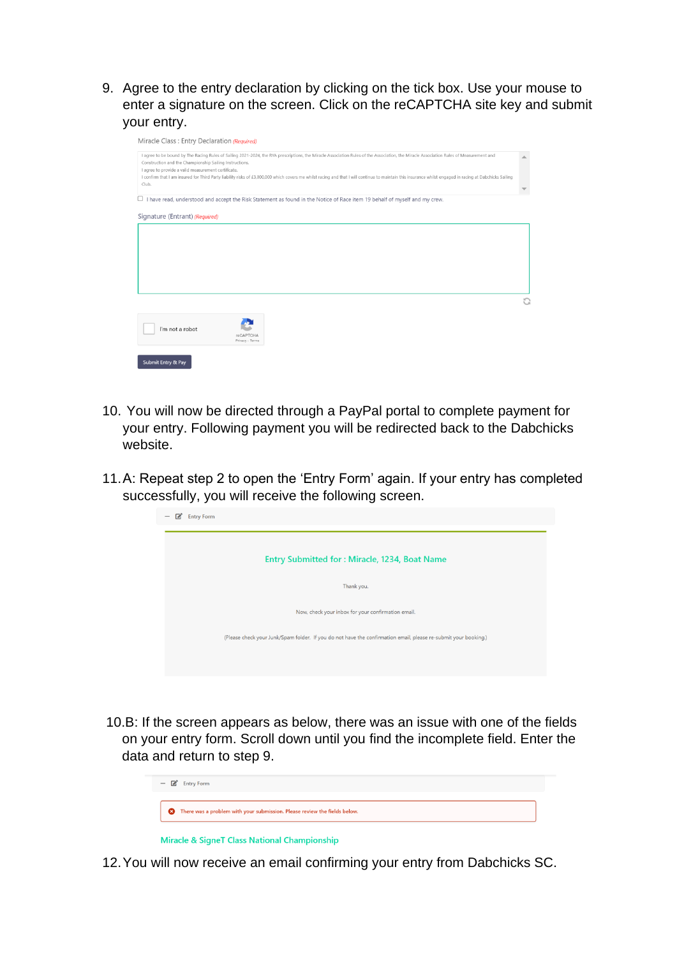9. Agree to the entry declaration by clicking on the tick box. Use your mouse to enter a signature on the screen. Click on the reCAPTCHA site key and submit your entry.

|                                                                                                                | I agree to be bound by The Racing Rules of Sailing 2021-2024, the RYA prescriptions, the Miracle Association Rules of the Association, the Miracle Association Rules of Measurement and                   |  |
|----------------------------------------------------------------------------------------------------------------|-----------------------------------------------------------------------------------------------------------------------------------------------------------------------------------------------------------|--|
| Construction and the Championship Sailing Instructions.<br>I agree to provide a valid measurement certificate. |                                                                                                                                                                                                           |  |
|                                                                                                                | I confirm that I am insured for Third Party liability risks of £3,000,000 which covers me whilst racing and that I will continue to maintain this insurance whilst engaged in racing at Dabchicks Sailing |  |
| Club.                                                                                                          |                                                                                                                                                                                                           |  |
|                                                                                                                |                                                                                                                                                                                                           |  |
|                                                                                                                | $\Box$ I have read, understood and accept the Risk Statement as found in the Notice of Race item 19 behalf of myself and my crew.                                                                         |  |
|                                                                                                                |                                                                                                                                                                                                           |  |
| Signature (Entrant) (Required)                                                                                 |                                                                                                                                                                                                           |  |
|                                                                                                                |                                                                                                                                                                                                           |  |
|                                                                                                                |                                                                                                                                                                                                           |  |
|                                                                                                                |                                                                                                                                                                                                           |  |
|                                                                                                                |                                                                                                                                                                                                           |  |
|                                                                                                                |                                                                                                                                                                                                           |  |
|                                                                                                                |                                                                                                                                                                                                           |  |
|                                                                                                                |                                                                                                                                                                                                           |  |
|                                                                                                                |                                                                                                                                                                                                           |  |
|                                                                                                                |                                                                                                                                                                                                           |  |
|                                                                                                                |                                                                                                                                                                                                           |  |
|                                                                                                                |                                                                                                                                                                                                           |  |
|                                                                                                                |                                                                                                                                                                                                           |  |
| I'm not a robot                                                                                                |                                                                                                                                                                                                           |  |
|                                                                                                                | reCAPTCHA                                                                                                                                                                                                 |  |
|                                                                                                                | Privacy - Terms                                                                                                                                                                                           |  |
|                                                                                                                |                                                                                                                                                                                                           |  |
|                                                                                                                |                                                                                                                                                                                                           |  |
| Submit Entry & Pay                                                                                             |                                                                                                                                                                                                           |  |

- 10. You will now be directed through a PayPal portal to complete payment for your entry. Following payment you will be redirected back to the Dabchicks website.
- 11.A: Repeat step 2 to open the 'Entry Form' again. If your entry has completed successfully, you will receive the following screen.



10.B: If the screen appears as below, there was an issue with one of the fields on your entry form. Scroll down until you find the incomplete field. Enter the data and return to step 9.



Miracle & SigneT Class National Championship

12.You will now receive an email confirming your entry from Dabchicks SC.